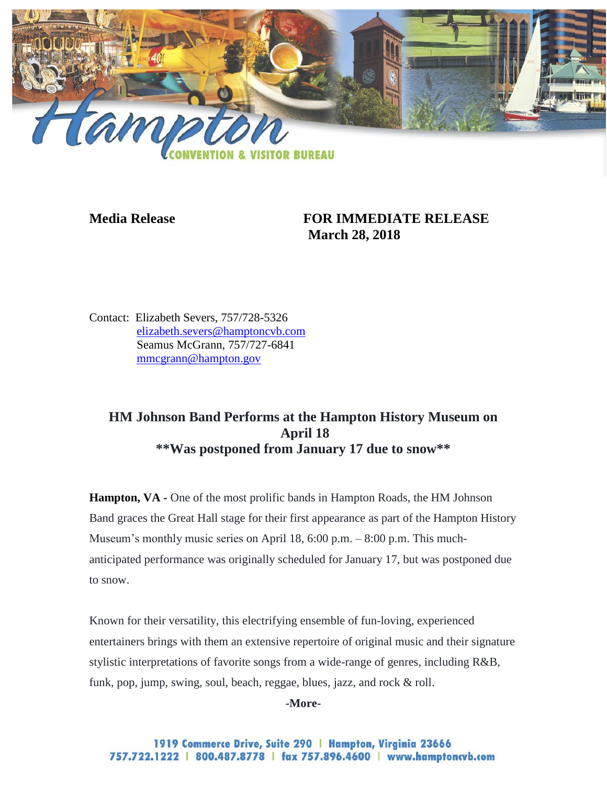

## **Media Release FOR IMMEDIATE RELEASE March 28, 2018**

Contact: Elizabeth Severs, 757/728-5326 [elizabeth.severs@hamptoncvb.com](mailto:elizabeth.severs@hamptoncvb.com) Seamus McGrann, 757/727-6841 [mmcgrann@hampton.gov](mailto:mmcgrann@hampton.gov)

## **HM Johnson Band Performs at the Hampton History Museum on April 18 \*\*Was postponed from January 17 due to snow\*\***

**Hampton, VA -** One of the most prolific bands in Hampton Roads, the HM Johnson Band graces the Great Hall stage for their first appearance as part of the Hampton History Museum's monthly music series on April 18, 6:00 p.m. – 8:00 p.m. This muchanticipated performance was originally scheduled for January 17, but was postponed due to snow.

Known for their versatility, this electrifying ensemble of fun-loving, experienced entertainers brings with them an extensive repertoire of original music and their signature stylistic interpretations of favorite songs from a wide-range of genres, including R&B, funk, pop, jump, swing, soul, beach, reggae, blues, jazz, and rock & roll.

**-More-**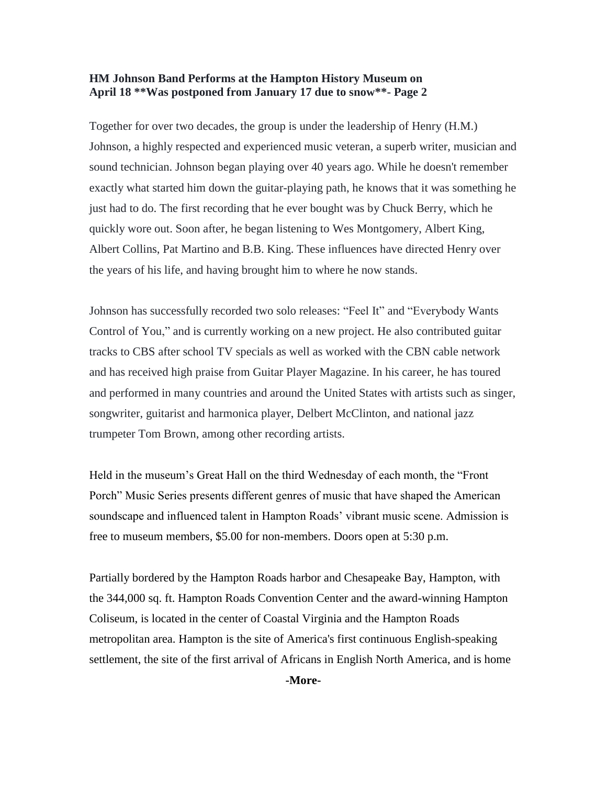## **HM Johnson Band Performs at the Hampton History Museum on April 18 \*\*Was postponed from January 17 due to snow\*\*- Page 2**

Together for over two decades, the group is under the leadership of Henry (H.M.) Johnson, a highly respected and experienced music veteran, a superb writer, musician and sound technician. Johnson began playing over 40 years ago. While he doesn't remember exactly what started him down the guitar-playing path, he knows that it was something he just had to do. The first recording that he ever bought was by Chuck Berry, which he quickly wore out. Soon after, he began listening to Wes Montgomery, Albert King, Albert Collins, Pat Martino and B.B. King. These influences have directed Henry over the years of his life, and having brought him to where he now stands.

Johnson has successfully recorded two solo releases: "Feel It" and "Everybody Wants Control of You," and is currently working on a new project. He also contributed guitar tracks to CBS after school TV specials as well as worked with the CBN cable network and has received high praise from Guitar Player Magazine. In his career, he has toured and performed in many countries and around the United States with artists such as singer, songwriter, guitarist and harmonica player, Delbert McClinton, and national jazz trumpeter Tom Brown, among other recording artists.

Held in the museum's Great Hall on the third Wednesday of each month, the "Front Porch" Music Series presents different genres of music that have shaped the American soundscape and influenced talent in Hampton Roads' vibrant music scene. Admission is free to museum members, \$5.00 for non-members. Doors open at 5:30 p.m.

Partially bordered by the Hampton Roads harbor and Chesapeake Bay, Hampton, with the 344,000 sq. ft. Hampton Roads Convention Center and the award-winning Hampton Coliseum, is located in the center of Coastal Virginia and the Hampton Roads metropolitan area. Hampton is the site of America's first continuous English-speaking settlement, the site of the first arrival of Africans in English North America, and is home

**-More-**